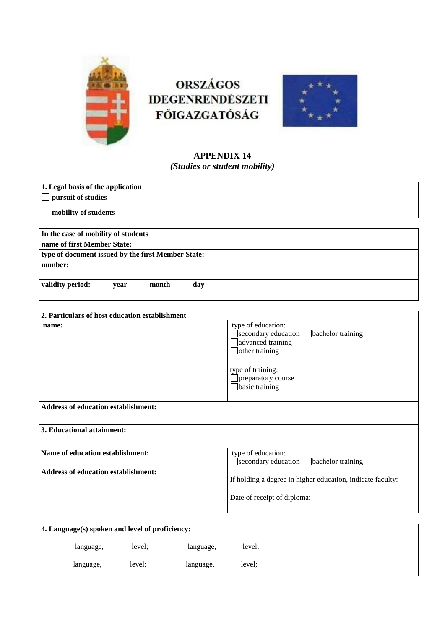

# **ORSZÁGOS IDEGENRENDESZETI FŐIGAZGATÓSÁG**



# **APPENDIX 14** *(Studies or student mobility)*

| 1. Legal basis of the application                                              |                                                                                                                                                                               |  |  |  |  |  |
|--------------------------------------------------------------------------------|-------------------------------------------------------------------------------------------------------------------------------------------------------------------------------|--|--|--|--|--|
| pursuit of studies                                                             |                                                                                                                                                                               |  |  |  |  |  |
| mobility of students                                                           |                                                                                                                                                                               |  |  |  |  |  |
|                                                                                |                                                                                                                                                                               |  |  |  |  |  |
| In the case of mobility of students                                            |                                                                                                                                                                               |  |  |  |  |  |
| name of first Member State:                                                    |                                                                                                                                                                               |  |  |  |  |  |
| type of document issued by the first Member State:                             |                                                                                                                                                                               |  |  |  |  |  |
| number:                                                                        |                                                                                                                                                                               |  |  |  |  |  |
| validity period:<br>month<br>day<br>year                                       |                                                                                                                                                                               |  |  |  |  |  |
|                                                                                |                                                                                                                                                                               |  |  |  |  |  |
|                                                                                |                                                                                                                                                                               |  |  |  |  |  |
| 2. Particulars of host education establishment                                 |                                                                                                                                                                               |  |  |  |  |  |
| name:                                                                          | type of education:<br>Secondary education bachelor training<br>advanced training<br>$\Box$ other training<br>type of training:<br>preparatory course<br>$\Box$ basic training |  |  |  |  |  |
| <b>Address of education establishment:</b>                                     |                                                                                                                                                                               |  |  |  |  |  |
| 3. Educational attainment:                                                     |                                                                                                                                                                               |  |  |  |  |  |
| Name of education establishment:<br><b>Address of education establishment:</b> | type of education:<br>□secondary education □bachelor training                                                                                                                 |  |  |  |  |  |
|                                                                                | If holding a degree in higher education, indicate faculty:                                                                                                                    |  |  |  |  |  |
|                                                                                | Date of receipt of diploma:                                                                                                                                                   |  |  |  |  |  |

| 4. Language(s) spoken and level of proficiency: |           |        |           |        |  |
|-------------------------------------------------|-----------|--------|-----------|--------|--|
|                                                 | language, | level: | language, | level; |  |
|                                                 | language, | level; | language, | level: |  |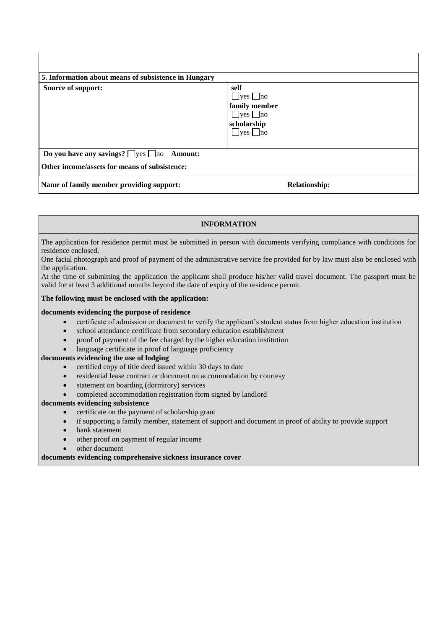| 5. Information about means of subsistence in Hungary  |                                                                                                              |  |  |  |
|-------------------------------------------------------|--------------------------------------------------------------------------------------------------------------|--|--|--|
| Source of support:                                    | self<br>$\Box$ yes $\Box$ no<br>family member<br>$\Box$ yes $\Box$ no<br>scholarship<br>$\Box$ yes $\Box$ no |  |  |  |
| Do you have any savings? $\Box$ yes $\Box$ no Amount: |                                                                                                              |  |  |  |
| Other income/assets for means of subsistence:         |                                                                                                              |  |  |  |
| Name of family member providing support:              | <b>Relationship:</b>                                                                                         |  |  |  |

### **INFORMATION**

The application for residence permit must be submitted in person with documents verifying compliance with conditions for residence enclosed.

One facial photograph and proof of payment of the administrative service fee provided for by law must also be enclosed with the application.

At the time of submitting the application the applicant shall produce his/her valid travel document. The passport must be valid for at least 3 additional months beyond the date of expiry of the residence permit.

#### **The following must be enclosed with the application:**

#### **documents evidencing the purpose of residence**

- certificate of admission or document to verify the applicant's student status from higher education institution
- school attendance certificate from secondary education establishment
- proof of payment of the fee charged by the higher education institution
- language certificate in proof of language proficiency

#### **documents evidencing the use of lodging**

- certified copy of title deed issued within 30 days to date
- residential lease contract or document on accommodation by courtesy
- statement on boarding (dormitory) services
- completed accommodation registration form signed by landlord

#### **documents evidencing subsistence**

- certificate on the payment of scholarship grant
- if supporting a family member, statement of support and document in proof of ability to provide support
- bank statement
- other proof on payment of regular income
- other document

**documents evidencing comprehensive sickness insurance cover**